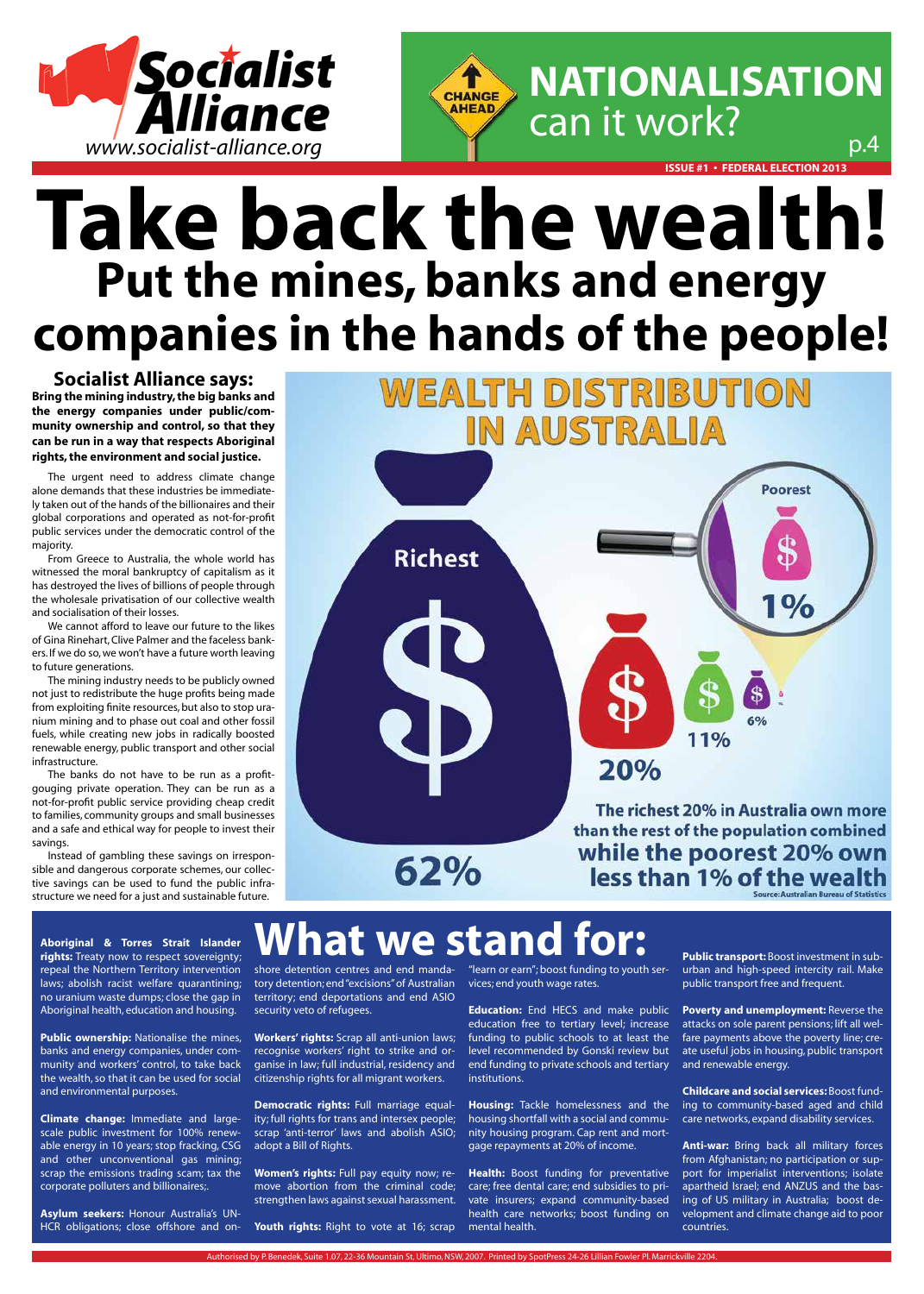# **Take back the wealth! Put the mines, banks and energy companies in the hands of the people!**

Authorised by P. Benedek, Suite 1.07, 22-36 Mountain St, Ultimo, NSW, 2007. Printed by SpotPress 24-26 Lillian Fowler Pl. Marrickville 2204.

### **Socialist Alliance says:**

**Bring the mining industry, the big banks and the energy companies under public/community ownership and control, so that they can be run in a way that respects Aboriginal rights, the environment and social justice.**

The urgent need to address climate change alone demands that these industries be immediately taken out of the hands of the billionaires and their global corporations and operated as not-for-profit public services under the democratic control of the majority.

From Greece to Australia, the whole world has witnessed the moral bankruptcy of capitalism as it has destroyed the lives of billions of people through the wholesale privatisation of our collective wealth and socialisation of their losses.

We cannot afford to leave our future to the likes of Gina Rinehart, Clive Palmer and the faceless bankers. If we do so, we won't have a future worth leaving to future generations.

**Public ownership:** Nationalise the mines, banks and energy companies, under community and workers' control, to take back the wealth, so that it can be used for social and environmental purposes.

The mining industry needs to be publicly owned not just to redistribute the huge profits being made from exploiting finite resources, but also to stop uranium mining and to phase out coal and other fossil fuels, while creating new jobs in radically boosted renewable energy, public transport and other social infrastructure.

The banks do not have to be run as a profitgouging private operation. They can be run as a not-for-profit public service providing cheap credit to families, community groups and small businesses and a safe and ethical way for people to invest their savings.

> **Women's rights:** Full pay equity now; remove abortion from the criminal code; strengthen laws against sexual harassment.

Youth rights: Right to vote at 16; scrap

Instead of gambling these savings on irresponsible and dangerous corporate schemes, our collective savings can be used to fund the public infrastructure we need for a just and sustainable future.



62%

less than 1% of the wealth Source: Australian Bureau of Statistics

### **What we stand**



**Health:** Boost funding for preventative care; free dental care; end subsidies to private insurers; expand community-based health care networks; boost funding on mental health.

**Aboriginal & Torres Strait Islander rights:** Treaty now to respect sovereignty; repeal the Northern Territory intervention laws; abolish racist welfare quarantining; no uranium waste dumps; close the gap in Aboriginal health, education and housing.

**Climate change:** Immediate and largescale public investment for 100% renewable energy in 10 years; stop fracking, CSG and other unconventional gas mining; scrap the emissions trading scam; tax the corporate polluters and billionaires;.

**Asylum seekers:** Honour Australia's UN-HCR obligations; close offshore and on-

shore detention centres and end manda-"learn or earn"; boost funding to youth sertory detention; end "excisions" of Australian vices; end youth wage rates. territory; end deportations and end ASIO security veto of refugees.

**Workers' rights:** Scrap all anti-union laws; recognise workers' right to strike and organise in law; full industrial, residency and citizenship rights for all migrant workers.

**Democratic rights:** Full marriage equality; full rights for trans and intersex people; scrap 'anti-terror' laws and abolish ASIO; adopt a Bill of Rights.

education free to tertiary level; increase funding to public schools to at least the level recommended by Gonski review but end funding to private schools and tertiary institutions.

**Housing:** Tackle homelessness and the housing shortfall with a social and community housing program. Cap rent and mortgage repayments at 20% of income.

**Education:** End HECS and make public **Poverty and unemployment:** Reverse the

**Public transport:** Boost investment in suburban and high-speed intercity rail. Make public transport free and frequent.

attacks on sole parent pensions; lift all welfare payments above the poverty line; create useful jobs in housing, public transport and renewable energy.

**Childcare and social services:** Boost funding to community-based aged and child care networks, expand disability services.

**Anti-war:** Bring back all military forces from Afghanistan; no participation or support for imperialist interventions; isolate apartheid Israel; end ANZUS and the basing of US military in Australia; boost development and climate change aid to poor countries.



**issue #1 • Federal election 2013**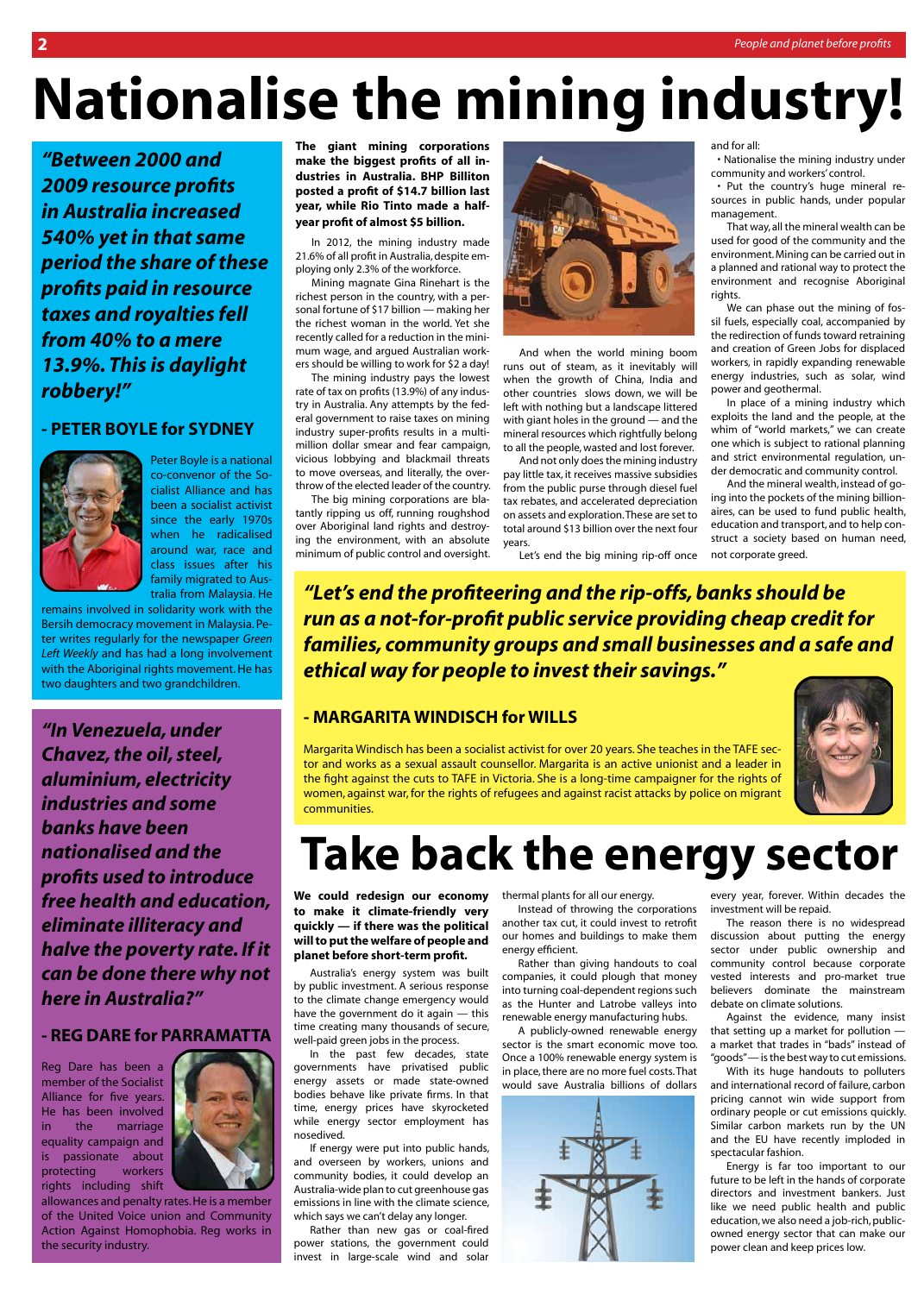# **Nationalise the mining industry!**

**The giant mining corporations make the biggest profits of all industries in Australia. BHP Billiton posted a profit of \$14.7 billion last year, while Rio Tinto made a halfyear profit of almost \$5 billion.**

In 2012, the mining industry made 21.6% of all profit in Australia, despite employing only 2.3% of the workforce.

Mining magnate Gina Rinehart is the richest person in the country, with a personal fortune of \$17 billion — making her the richest woman in the world. Yet she recently called for a reduction in the minimum wage, and argued Australian workers should be willing to work for \$2 a day!

The mining industry pays the lowest rate of tax on profits (13.9%) of any industry in Australia. Any attempts by the federal government to raise taxes on mining industry super-profits results in a multimillion dollar smear and fear campaign, vicious lobbying and blackmail threats to move overseas, and literally, the overthrow of the elected leader of the country.

The big mining corporations are blatantly ripping us off, running roughshod over Aboriginal land rights and destroying the environment, with an absolute minimum of public control and oversight.



And when the world mining boom runs out of steam, as it inevitably will when the growth of China, India and other countries slows down, we will be left with nothing but a landscape littered with giant holes in the ground — and the mineral resources which rightfully belong to all the people, wasted and lost forever.

And not only does the mining industry pay little tax, it receives massive subsidies from the public purse through diesel fuel tax rebates, and accelerated depreciation on assets and exploration. These are set to total around \$13 billion over the next four years.

Let's end the big mining rip-off once

and for all:

• Nationalise the mining industry under community and workers' control.

• Put the country's huge mineral resources in public hands, under popular management.

That way, all the mineral wealth can be used for good of the community and the environment. Mining can be carried out in a planned and rational way to protect the environment and recognise Aboriginal rights.

We can phase out the mining of fossil fuels, especially coal, accompanied by the redirection of funds toward retraining and creation of Green Jobs for displaced workers, in rapidly expanding renewable energy industries, such as solar, wind power and geothermal.

In place of a mining industry which exploits the land and the people, at the whim of "world markets," we can create one which is subject to rational planning and strict environmental regulation, under democratic and community control.

And the mineral wealth, instead of going into the pockets of the mining billionaires, can be used to fund public health, education and transport, and to help construct a society based on human need, not corporate greed.

**We could redesign our economy to make it climate-friendly very quickly — if there was the political will to put the welfare of people and planet before short-term profit.**

Australia's energy system was built by public investment. A serious response to the climate change emergency would have the government do it again — this time creating many thousands of secure, well-paid green jobs in the process. In the past few decades, state governments have privatised public energy assets or made state-owned bodies behave like private firms. In that time, energy prices have skyrocketed while energy sector employment has nosedived.

If energy were put into public hands, and overseen by workers, unions and community bodies, it could develop an Australia-wide plan to cut greenhouse gas emissions in line with the climate science, which says we can't delay any longer.

Rather than new gas or coal-fired power stations, the government could invest in large-scale wind and solar



thermal plants for all our energy.

Instead of throwing the corporations another tax cut, it could invest to retrofit our homes and buildings to make them energy efficient.

Rather than giving handouts to coal companies, it could plough that money into turning coal-dependent regions such as the Hunter and Latrobe valleys into renewable energy manufacturing hubs. A publicly-owned renewable energy sector is the smart economic move too. Once a 100% renewable energy system is in place, there are no more fuel costs. That would save Australia billions of dollars

every year, forever. Within decades the investment will be repaid.

The reason there is no widespread discussion about putting the energy sector under public ownership and community control because corporate vested interests and pro-market true believers dominate the mainstream debate on climate solutions.

Against the evidence, many insist that setting up a market for pollution a market that trades in "bads" instead of "goods" — is the best way to cut emissions.

With its huge handouts to polluters and international record of failure, carbon pricing cannot win wide support from ordinary people or cut emissions quickly. Similar carbon markets run by the UN and the EU have recently imploded in spectacular fashion.

Energy is far too important to our future to be left in the hands of corporate directors and investment bankers. Just like we need public health and public education, we also need a job-rich, publicowned energy sector that can make our power clean and keep prices low.

### **Take back the energy sector**

*"In Venezuela, under Chavez, the oil, steel, aluminium, electricity industries and some banks have been nationalised and the profits used to introduce free health and education, eliminate illiteracy and halve the poverty rate. If it can be done there why not here in Australia?"*

### **- REG DARE for PARRAMATTA**

Reg Dare has been a member of the Socialist Alliance for five years. He has been involved in the marriage equality campaign and is passionate about protecting workers rights including shift



allowances and penalty rates. He is a member of the United Voice union and Community Action Against Homophobia. Reg works in the security industry.

*"Between 2000 and 2009 resource profits in Australia increased 540% yet in that same period the share of these profits paid in resource taxes and royalties fell from 40% to a mere 13.9%. This is daylight robbery!"*

**- PETER BOYLE for SYDNEY**



Peter Boyle is a national co-convenor of the Socialist Alliance and has been a socialist activist since the early 1970s when he radicalised around war, race and class issues after his family migrated to Australia from Malaysia. He

remains involved in solidarity work with the Bersih democracy movement in Malaysia. Peter writes regularly for the newspaper *Green Left Weekly* and has had a long involvement with the Aboriginal rights movement. He has two daughters and two grandchildren.

*"Let's end the profiteering and the rip-offs, banks should be run as a not-for-profit public service providing cheap credit for families, community groups and small businesses and a safe and ethical way for people to invest their savings."*

### **- MARGARITA WINDISCH for WILLS**



Margarita Windisch has been a socialist activist for over 20 years. She teaches in the TAFE sector and works as a sexual assault counsellor. Margarita is an active unionist and a leader in the fight against the cuts to TAFE in Victoria. She is a long-time campaigner for the rights of women, against war, for the rights of refugees and against racist attacks by police on migrant communities.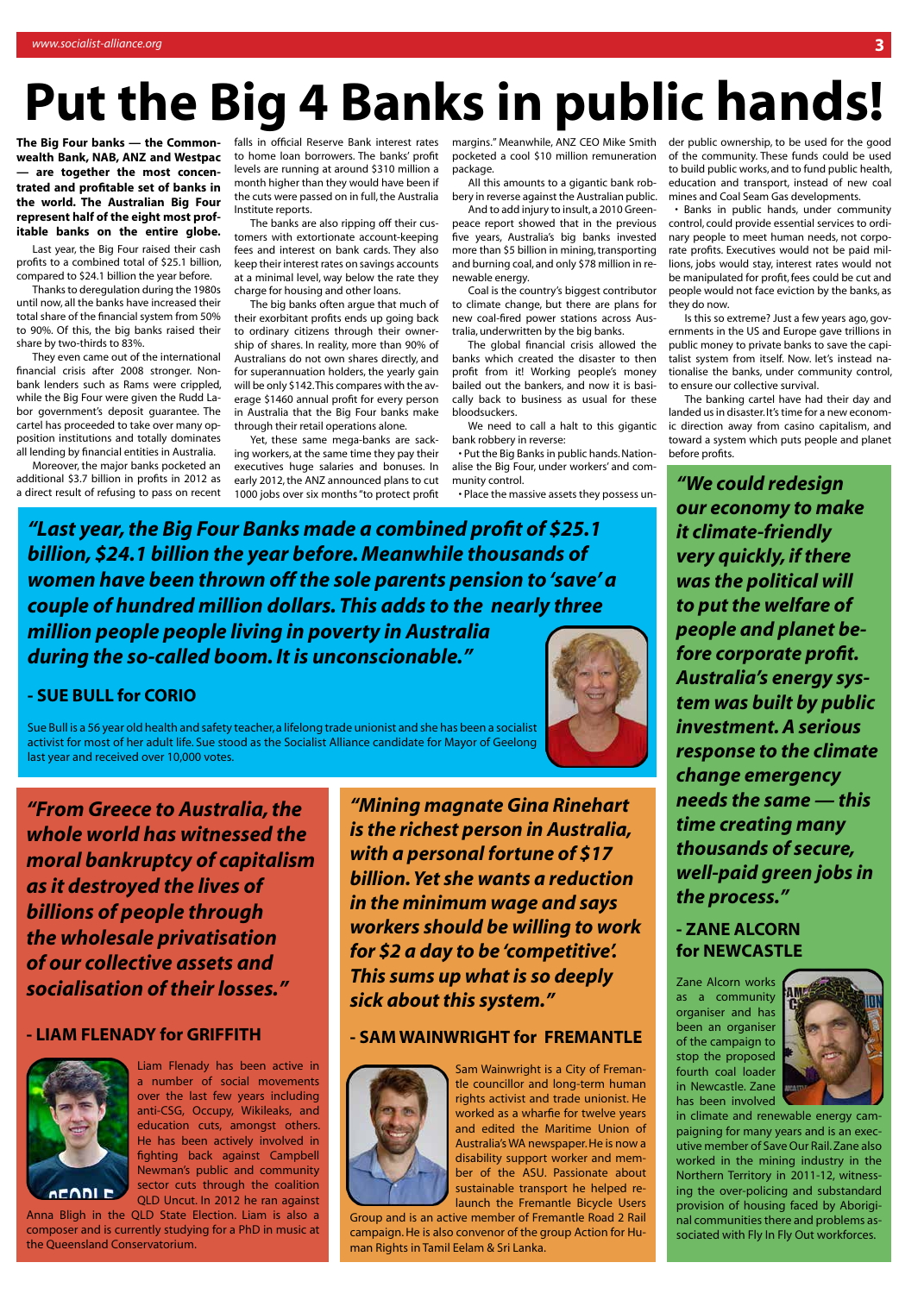**The Big Four banks — the Commonwealth Bank, NAB, ANZ and Westpac**  are together the most concen**trated and profitable set of banks in the world. The Australian Big Four represent half of the eight most profitable banks on the entire globe.**

Last year, the Big Four raised their cash profits to a combined total of \$25.1 billion, compared to \$24.1 billion the year before.

Thanks to deregulation during the 1980s until now, all the banks have increased their total share of the financial system from 50% to 90%. Of this, the big banks raised their share by two-thirds to 83%.

They even came out of the international financial crisis after 2008 stronger. Nonbank lenders such as Rams were crippled, while the Big Four were given the Rudd Labor government's deposit guarantee. The cartel has proceeded to take over many opposition institutions and totally dominates all lending by financial entities in Australia.

The big banks often argue that much of their exorbitant profits ends up going back to ordinary citizens through their ownership of shares. In reality, more than 90% of Australians do not own shares directly, and for superannuation holders, the yearly gain will be only \$142. This compares with the average \$1460 annual profit for every person in Australia that the Big Four banks make

Moreover, the major banks pocketed an additional \$3.7 billion in profits in 2012 as a direct result of refusing to pass on recent falls in official Reserve Bank interest rates to home loan borrowers. The banks' profit levels are running at around \$310 million a month higher than they would have been if the cuts were passed on in full, the Australia Institute reports.

The banks are also ripping off their customers with extortionate account-keeping fees and interest on bank cards. They also keep their interest rates on savings accounts at a minimal level, way below the rate they charge for housing and other loans.

through their retail operations alone. Yet, these same mega-banks are sacking workers, at the same time they pay their executives huge salaries and bonuses. In early 2012, the ANZ announced plans to cut 1000 jobs over six months "to protect profit

margins." Meanwhile, ANZ CEO Mike Smith pocketed a cool \$10 million remuneration package.

All this amounts to a gigantic bank robbery in reverse against the Australian public.

And to add injury to insult, a 2010 Greenpeace report showed that in the previous five years, Australia's big banks invested more than \$5 billion in mining, transporting and burning coal, and only \$78 million in renewable energy.

Coal is the country's biggest contributor to climate change, but there are plans for new coal-fired power stations across Australia, underwritten by the big banks.

The global financial crisis allowed the banks which created the disaster to then profit from it! Working people's money bailed out the bankers, and now it is basically back to business as usual for these bloodsuckers.

We need to call a halt to this gigantic bank robbery in reverse:

• Put the Big Banks in public hands. Nationalise the Big Four, under workers' and community control.

• Place the massive assets they possess un-

## **Put the Big 4 Banks in public hands!**

*"From Greece to Australia, the whole world has witnessed the moral bankruptcy of capitalism as it destroyed the lives of billions of people through the wholesale privatisation of our collective assets and socialisation of their losses."*

#### **- LIAM FLENADY for GRIFFITH**



Liam Flenady has been active in a number of social movements over the last few years including anti-CSG, Occupy, Wikileaks, and education cuts, amongst others. He has been actively involved in fighting back against Campbell Newman's public and community sector cuts through the coalition QLD Uncut. In 2012 he ran against

Anna Bligh in the QLD State Election. Liam is also a composer and is currently studying for a PhD in music at the Queensland Conservatorium.

*"We could redesign our economy to make it climate-friendly very quickly, if there was the political will to put the welfare of people and planet before corporate profit. Australia's energy system was built by public investment. A serious response to the climate change emergency needs the same — this time creating many thousands of secure, well-paid green jobs in the process."*

#### **- ZANE ALCORN for NEWCASTLE**

Zane Alcorn works as a community organiser and has been an organiser of the campaign to stop the proposed fourth coal loader in Newcastle. Zane has been involved



in climate and renewable energy campaigning for many years and is an executive member of Save Our Rail. Zane also worked in the mining industry in the Northern Territory in 2011-12, witnessing the over-policing and substandard provision of housing faced by Aboriginal communities there and problems associated with Fly In Fly Out workforces.

*"Last year, the Big Four Banks made a combined profit of \$25.1 billion, \$24.1 billion the year before. Meanwhile thousands of women have been thrown off the sole parents pension to 'save' a couple of hundred million dollars. This adds to the nearly three million people people living in poverty in Australia during the so-called boom. It is unconscionable."*

### **- SUE BULL for CORIO**

Sue Bull is a 56 year old health and safety teacher, a lifelong trade unionist and she has been a socialist activist for most of her adult life. Sue stood as the Socialist Alliance candidate for Mayor of Geelong last year and received over 10,000 votes.



*"Mining magnate Gina Rinehart is the richest person in Australia, with a personal fortune of \$17 billion. Yet she wants a reduction in the minimum wage and says workers should be willing to work for \$2 a day to be 'competitive'. This sums up what is so deeply sick about this system."*

#### **- SAM WAINWRIGHT for FREMANTLE**



Sam Wainwright is a City of Fremantle councillor and long-term human rights activist and trade unionist. He worked as a wharfie for twelve years and edited the Maritime Union of Australia's WA newspaper. He is now a disability support worker and member of the ASU. Passionate about sustainable transport he helped relaunch the Fremantle Bicycle Users Group and is an active member of Fremantle Road 2 Rail campaign. He is also convenor of the group Action for Human Rights in Tamil Eelam & Sri Lanka.

der public ownership, to be used for the good of the community. These funds could be used to build public works, and to fund public health, education and transport, instead of new coal mines and Coal Seam Gas developments.

• Banks in public hands, under community control, could provide essential services to ordinary people to meet human needs, not corporate profits. Executives would not be paid millions, jobs would stay, interest rates would not be manipulated for profit, fees could be cut and people would not face eviction by the banks, as they do now.

Is this so extreme? Just a few years ago, governments in the US and Europe gave trillions in public money to private banks to save the capitalist system from itself. Now. let's instead nationalise the banks, under community control, to ensure our collective survival.

The banking cartel have had their day and landed us in disaster. It's time for a new economic direction away from casino capitalism, and toward a system which puts people and planet before profits.